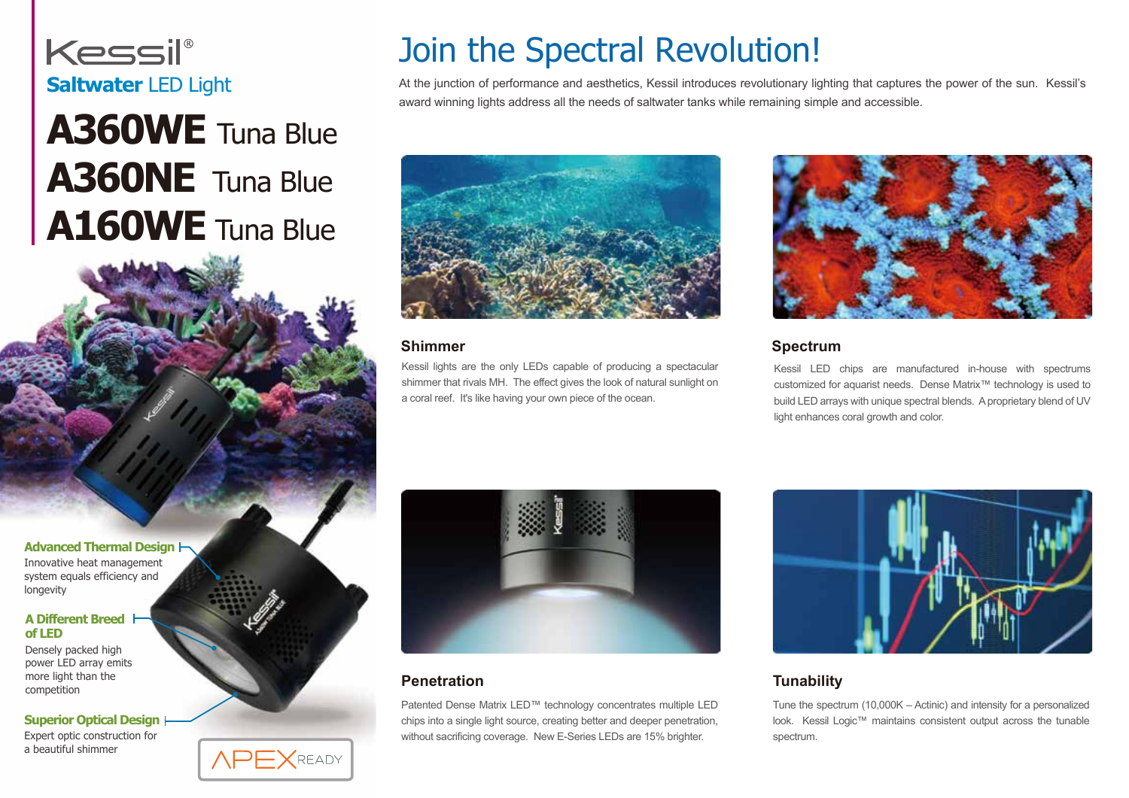

## **A360WE** Tuna Blue **A360NE** Tuna Blue **A160WE** Tuna Blue

**Advanced Thermal Design**

Innovative heat management system equals efficiency and longevity

#### **A Different Breed of LED**

Densely packed high power LED array emits more light than the competition

**Superior Optical Design**

Expert optic construction for a beautiful shimmer

## Join the Spectral Revolution!

Saltwater LED Light At the junction of performance and aesthetics, Kessil introduces revolutionary lighting that captures the power of the sun. Kessil's award winning lights address all the needs of saltwater tanks while remaining simple and accessible.



#### **Shimmer**

Kessil lights are the only LEDs capable of producing a spectacular shimmer that rivals MH. The effect gives the look of natural sunlight on a coral reef. It's like having your own piece of the ocean.



#### **Spectrum**

Kessil LED chips are manufactured in-house with spectrums customized for aquarist needs. Dense Matrix™ technology is used to build LED arrays with unique spectral blends. A proprietary blend of UV light enhances coral growth and color.







#### **Penetration**

Patented Dense Matrix LED™ technology concentrates multiple LED chips into a single light source, creating better and deeper penetration, without sacrificing coverage. New E-Series LEDs are 15% brighter.



#### **Tunability**

Tune the spectrum (10,000K – Actinic) and intensity for a personalized look. Kessil Logic™ maintains consistent output across the tunable spectrum.